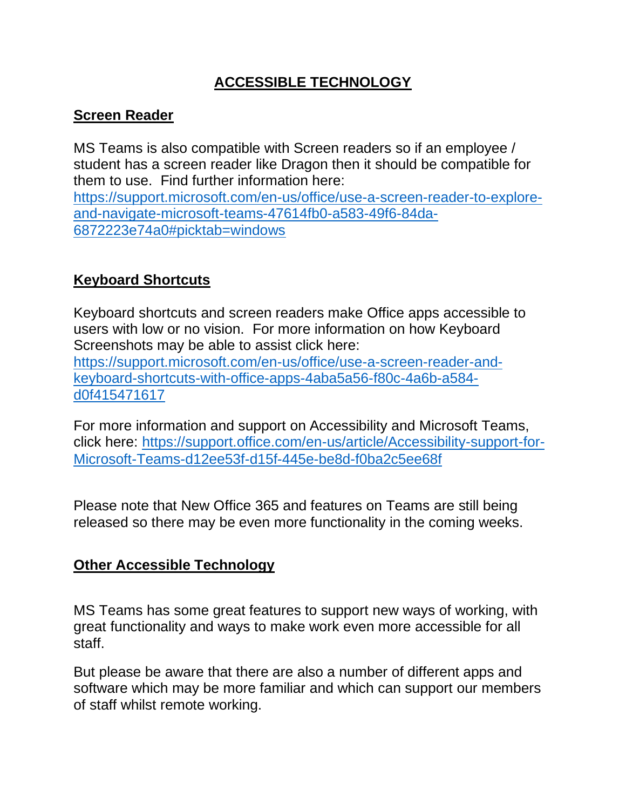# **ACCESSIBLE TECHNOLOGY**

## **Screen Reader**

MS Teams is also compatible with Screen readers so if an employee / student has a screen reader like Dragon then it should be compatible for them to use. Find further information here:

[https://support.microsoft.com/en-us/office/use-a-screen-reader-to-explore](https://support.microsoft.com/en-us/office/use-a-screen-reader-to-explore-and-navigate-microsoft-teams-47614fb0-a583-49f6-84da-6872223e74a0#picktab=windows)[and-navigate-microsoft-teams-47614fb0-a583-49f6-84da-](https://support.microsoft.com/en-us/office/use-a-screen-reader-to-explore-and-navigate-microsoft-teams-47614fb0-a583-49f6-84da-6872223e74a0#picktab=windows)[6872223e74a0#picktab=windows](https://support.microsoft.com/en-us/office/use-a-screen-reader-to-explore-and-navigate-microsoft-teams-47614fb0-a583-49f6-84da-6872223e74a0#picktab=windows)

## **Keyboard Shortcuts**

Keyboard shortcuts and screen readers make Office apps accessible to users with low or no vision. For more information on how Keyboard Screenshots may be able to assist click here: [https://support.microsoft.com/en-us/office/use-a-screen-reader-and](https://support.microsoft.com/en-us/office/use-a-screen-reader-and-keyboard-shortcuts-with-office-apps-4aba5a56-f80c-4a6b-a584-d0f415471617)[keyboard-shortcuts-with-office-apps-4aba5a56-f80c-4a6b-a584](https://support.microsoft.com/en-us/office/use-a-screen-reader-and-keyboard-shortcuts-with-office-apps-4aba5a56-f80c-4a6b-a584-d0f415471617) [d0f415471617](https://support.microsoft.com/en-us/office/use-a-screen-reader-and-keyboard-shortcuts-with-office-apps-4aba5a56-f80c-4a6b-a584-d0f415471617)

For more information and support on Accessibility and Microsoft Teams, click here: [https://support.office.com/en-us/article/Accessibility-support-for-](https://support.office.com/en-us/article/Accessibility-support-for-Microsoft-Teams-d12ee53f-d15f-445e-be8d-f0ba2c5ee68f)[Microsoft-Teams-d12ee53f-d15f-445e-be8d-f0ba2c5ee68f](https://support.office.com/en-us/article/Accessibility-support-for-Microsoft-Teams-d12ee53f-d15f-445e-be8d-f0ba2c5ee68f)

Please note that New Office 365 and features on Teams are still being released so there may be even more functionality in the coming weeks.

## **Other Accessible Technology**

MS Teams has some great features to support new ways of working, with great functionality and ways to make work even more accessible for all staff.

But please be aware that there are also a number of different apps and software which may be more familiar and which can support our members of staff whilst remote working.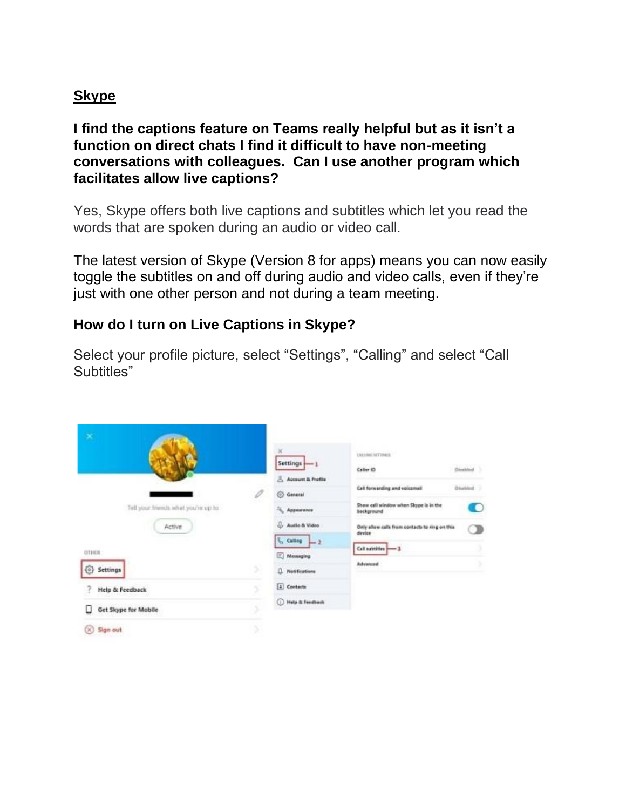### **Skype**

**I find the captions feature on Teams really helpful but as it isn't a function on direct chats I find it difficult to have non-meeting conversations with colleagues. Can I use another program which facilitates allow live captions?**

Yes, Skype offers both live captions and subtitles which let you read the words that are spoken during an audio or video call.

The latest version of Skype (Version 8 for apps) means you can now easily toggle the subtitles on and off during audio and video calls, even if they're just with one other person and not during a team meeting.

#### **How do I turn on Live Captions in Skype?**

Select your profile picture, select "Settings", "Calling" and select "Call Subtitles"

| ×                                   |  | ×<br>$Settings$ $-1$                                          | <b>CALLING SETTINGS</b><br>323332                              |
|-------------------------------------|--|---------------------------------------------------------------|----------------------------------------------------------------|
|                                     |  | Account & Profile                                             | <b>Disabled</b><br>Caller ID                                   |
|                                     |  | <b>S</b> General                                              | Disabled<br>Call forwarding and voicemail                      |
| Tell your friends what you're up to |  | Appearance                                                    | Show cell window when Slope is in the<br>O<br>bockground       |
| Active:                             |  | Audio & Video                                                 | Only allow calls from contacts to ring on this<br>э<br>direice |
| OTHER                               |  | $\frac{1}{2}$ Calling $\left \frac{1}{2}\right $<br>Messaging | Call subtities - 3                                             |
| €<br>Settings                       |  | <b>Q</b> Notifications                                        | Advanced                                                       |
| <b>Help &amp; Feedback</b>          |  | [4] Contects<br><b>D</b> Help & Feedback                      |                                                                |
| Get Skype for Mobile                |  |                                                               |                                                                |
| Sign out<br>DЮ                      |  |                                                               |                                                                |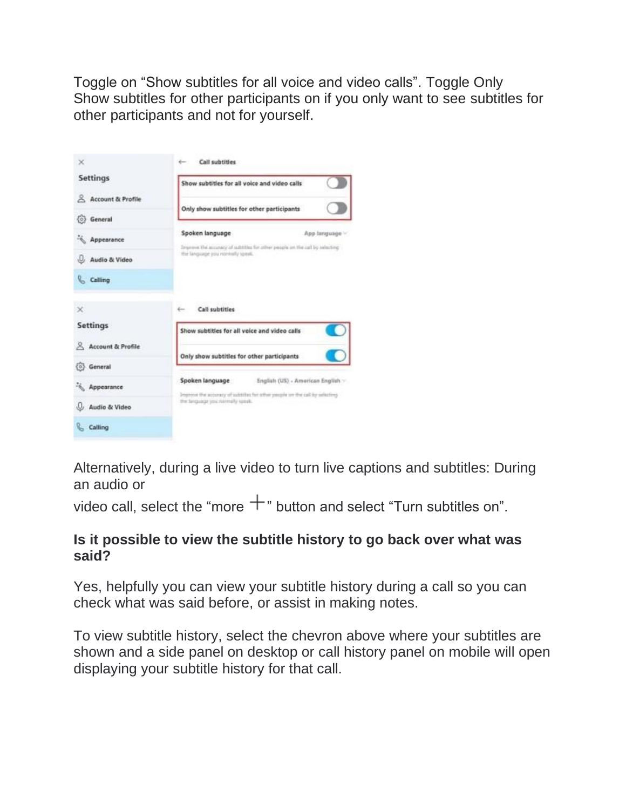Toggle on "Show subtitles for all voice and video calls". Toggle Only Show subtitles for other participants on if you only want to see subtitles for other participants and not for yourself.

| ×                            | Call subtitles<br>to controller                                                                                                                       |  |  |  |
|------------------------------|-------------------------------------------------------------------------------------------------------------------------------------------------------|--|--|--|
| Settings                     | Show subtitles for all voice and video calls                                                                                                          |  |  |  |
| <b>Account &amp; Profile</b> | Only show subtitles for other participants                                                                                                            |  |  |  |
| (0) General                  |                                                                                                                                                       |  |  |  |
| Appearance                   | Spoken language<br>App fanguage ~<br>Improve the accuracy of subtitles for other people on the call by selecting<br>the language you noninally speak. |  |  |  |
| Audio & Video                |                                                                                                                                                       |  |  |  |
| <b>Calling</b>               |                                                                                                                                                       |  |  |  |
| $\!\times\!$                 | Call subtities                                                                                                                                        |  |  |  |
| <b>Settings</b>              | Show subtitles for all voice and video calls                                                                                                          |  |  |  |
| Account & Profile            | Only show subtitles for other participants                                                                                                            |  |  |  |
| (0) General                  |                                                                                                                                                       |  |  |  |
| Appearance                   | Spoken language<br>English (US) - American English ><br>Improve the accuracy of substitute for other pacpie on the call by selecting                  |  |  |  |
| Audio & Video                | the briguage you namely speak.                                                                                                                        |  |  |  |
| Calling                      |                                                                                                                                                       |  |  |  |

Alternatively, during a live video to turn live captions and subtitles: During an audio or

video call, select the "more  $+$ " button and select "Turn subtitles on".

#### **Is it possible to view the subtitle history to go back over what was said?**

Yes, helpfully you can view your subtitle history during a call so you can check what was said before, or assist in making notes.

To view subtitle history, select the chevron above where your subtitles are shown and a side panel on desktop or call history panel on mobile will open displaying your subtitle history for that call.